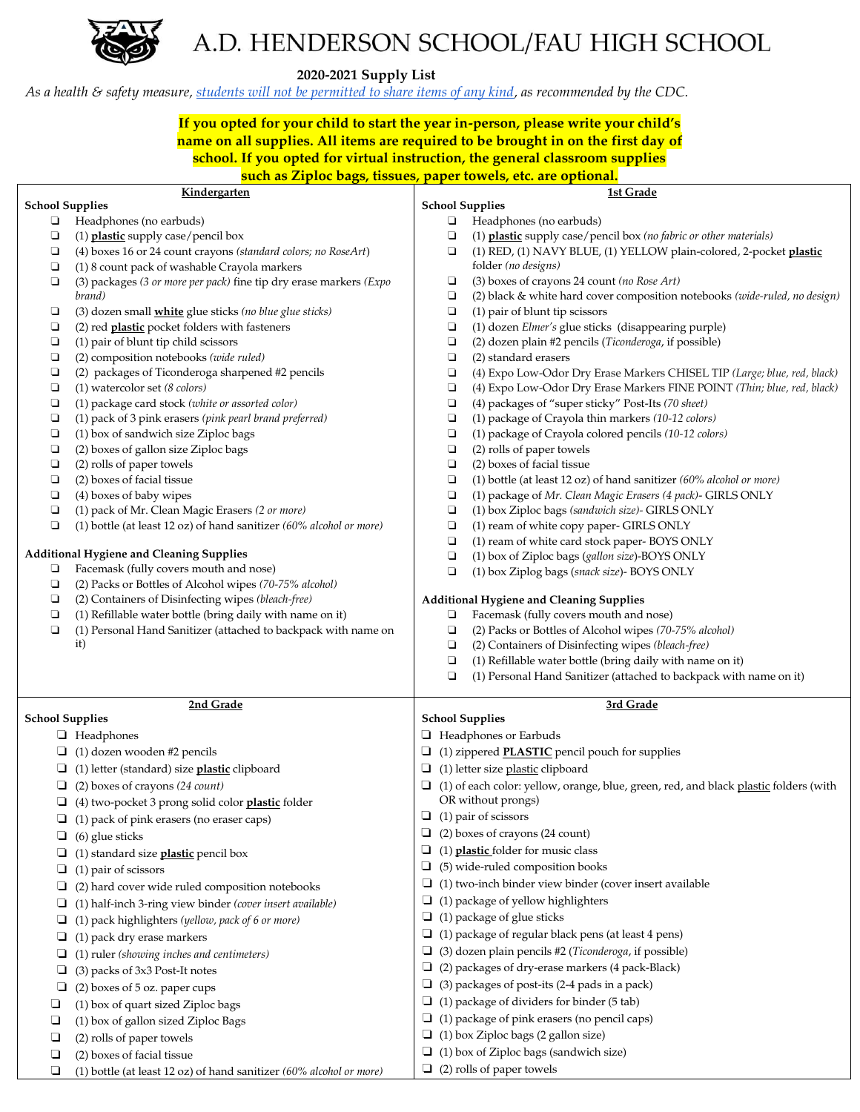

## A.D. HENDERSON SCHOOL/FAU HIGH SCHOOL

 **2020-2021 Supply List**

*As a health & safety measure, [students will not be permitted to share items of any kind,](https://www.cdc.gov/coronavirus/2019-ncov/community/schools-childcare/schools.html) as recommended by the CDC.* 

## **If you opted for your child to start the year in-person, please write your child's name on all supplies. All items are required to be brought in on the first day of school. If you opted for virtual instruction, the general classroom supplies**

| such as Ziploc bags, tissues, paper towels, etc. are optional. |                                                                        |                                                                                             |                                                                            |  |
|----------------------------------------------------------------|------------------------------------------------------------------------|---------------------------------------------------------------------------------------------|----------------------------------------------------------------------------|--|
| Kindergarten                                                   |                                                                        |                                                                                             | 1st Grade                                                                  |  |
| <b>School Supplies</b>                                         |                                                                        | <b>School Supplies</b>                                                                      |                                                                            |  |
| $\Box$                                                         | Headphones (no earbuds)                                                | $\Box$                                                                                      | Headphones (no earbuds)                                                    |  |
| О                                                              | (1) plastic supply case/pencil box                                     | О                                                                                           | (1) plastic supply case/pencil box (no fabric or other materials)          |  |
| ч                                                              | (4) boxes 16 or 24 count crayons (standard colors; no RoseArt)         | $\Box$                                                                                      | (1) RED, (1) NAVY BLUE, (1) YELLOW plain-colored, 2-pocket plastic         |  |
| ❏                                                              | (1) 8 count pack of washable Crayola markers                           |                                                                                             | folder (no designs)                                                        |  |
| ❏                                                              | (3) packages (3 or more per pack) fine tip dry erase markers (Expo     | Ч                                                                                           | (3) boxes of crayons 24 count (no Rose Art)                                |  |
|                                                                | brand)                                                                 | О                                                                                           | (2) black & white hard cover composition notebooks (wide-ruled, no design) |  |
| ❏                                                              | (3) dozen small <i>white</i> glue sticks (no blue glue sticks)         | О                                                                                           | (1) pair of blunt tip scissors                                             |  |
| Ч                                                              | (2) red <i>plastic</i> pocket folders with fasteners                   | О                                                                                           | (1) dozen Elmer's glue sticks (disappearing purple)                        |  |
| Ч                                                              | (1) pair of blunt tip child scissors                                   | $\Box$                                                                                      | (2) dozen plain #2 pencils (Ticonderoga, if possible)                      |  |
| ❏                                                              | (2) composition notebooks (wide ruled)                                 | ❏                                                                                           | (2) standard erasers                                                       |  |
| ❏                                                              | (2) packages of Ticonderoga sharpened #2 pencils                       | ❏                                                                                           | (4) Expo Low-Odor Dry Erase Markers CHISEL TIP (Large; blue, red, black)   |  |
| О                                                              | $(1)$ watercolor set $(8 \text{ colors})$                              | О                                                                                           | (4) Expo Low-Odor Dry Erase Markers FINE POINT (Thin; blue, red, black)    |  |
| Ч                                                              | (1) package card stock (white or assorted color)                       | О                                                                                           | (4) packages of "super sticky" Post-Its (70 sheet)                         |  |
| ❏                                                              | (1) pack of 3 pink erasers (pink pearl brand preferred)                | О                                                                                           | (1) package of Crayola thin markers (10-12 colors)                         |  |
| ❏                                                              | (1) box of sandwich size Ziploc bags                                   | ❏                                                                                           | (1) package of Crayola colored pencils (10-12 colors)                      |  |
| ❏                                                              | (2) boxes of gallon size Ziploc bags                                   | ❏                                                                                           | (2) rolls of paper towels                                                  |  |
| ❏                                                              | (2) rolls of paper towels                                              | $\Box$                                                                                      | (2) boxes of facial tissue                                                 |  |
| Ч                                                              | (2) boxes of facial tissue                                             | $\Box$                                                                                      | (1) bottle (at least 12 oz) of hand sanitizer (60% alcohol or more)        |  |
| $\Box$                                                         | (4) boxes of baby wipes                                                | О                                                                                           | (1) package of Mr. Clean Magic Erasers (4 pack)- GIRLS ONLY                |  |
| Ч                                                              | (1) pack of Mr. Clean Magic Erasers (2 or more)                        | О                                                                                           | (1) box Ziploc bags (sandwich size)- GIRLS ONLY                            |  |
| $\Box$                                                         | (1) bottle (at least 12 oz) of hand sanitizer $(60\%$ alcohol or more) | ❏                                                                                           | (1) ream of white copy paper- GIRLS ONLY                                   |  |
|                                                                |                                                                        | О                                                                                           | (1) ream of white card stock paper-BOYS ONLY                               |  |
| <b>Additional Hygiene and Cleaning Supplies</b>                |                                                                        | $\Box$                                                                                      | (1) box of Ziploc bags (gallon size)-BOYS ONLY                             |  |
| ⊔                                                              | Facemask (fully covers mouth and nose)                                 | О                                                                                           | (1) box Ziplog bags (snack size)- BOYS ONLY                                |  |
| Ч                                                              | (2) Packs or Bottles of Alcohol wipes (70-75% alcohol)                 |                                                                                             |                                                                            |  |
| ❏                                                              | (2) Containers of Disinfecting wipes (bleach-free)                     |                                                                                             | Additional Hygiene and Cleaning Supplies                                   |  |
| ❏                                                              | (1) Refillable water bottle (bring daily with name on it)              | $\Box$                                                                                      | Facemask (fully covers mouth and nose)                                     |  |
| $\Box$                                                         | (1) Personal Hand Sanitizer (attached to backpack with name on         | О                                                                                           | (2) Packs or Bottles of Alcohol wipes (70-75% alcohol)                     |  |
|                                                                | it)                                                                    | ❏                                                                                           | (2) Containers of Disinfecting wipes (bleach-free)                         |  |
|                                                                |                                                                        | ❏                                                                                           | (1) Refillable water bottle (bring daily with name on it)                  |  |
|                                                                |                                                                        | ❏                                                                                           | (1) Personal Hand Sanitizer (attached to backpack with name on it)         |  |
| 2nd Grade                                                      |                                                                        |                                                                                             | 3rd Grade                                                                  |  |
| <b>School Supplies</b>                                         |                                                                        | <b>School Supplies</b>                                                                      |                                                                            |  |
|                                                                | $\Box$ Headphones                                                      |                                                                                             | Headphones or Earbuds                                                      |  |
|                                                                |                                                                        |                                                                                             |                                                                            |  |
| ⊔                                                              | (1) dozen wooden #2 pencils                                            |                                                                                             | $\Box$ (1) zippered <b>PLASTIC</b> pencil pouch for supplies               |  |
| ⊔                                                              | (1) letter (standard) size plastic clipboard                           |                                                                                             | $\Box$ (1) letter size plastic clipboard                                   |  |
|                                                                | $\Box$ (2) boxes of crayons (24 count)                                 | $\Box$ (1) of each color: yellow, orange, blue, green, red, and black plastic folders (with |                                                                            |  |
|                                                                | 4) two-pocket 3 prong solid color plastic folder                       |                                                                                             | OR without prongs)                                                         |  |
|                                                                | (1) pack of pink erasers (no eraser caps)                              |                                                                                             | $\Box$ (1) pair of scissors                                                |  |
| ⊔                                                              | (6) glue sticks                                                        |                                                                                             | $\Box$ (2) boxes of crayons (24 count)                                     |  |
| ⊔                                                              | (1) standard size plastic pencil box                                   | ⊔                                                                                           | (1) plastic folder for music class                                         |  |
| ⊔                                                              | (1) pair of scissors                                                   | ⊔                                                                                           | (5) wide-ruled composition books                                           |  |
| ⊔                                                              | (2) hard cover wide ruled composition notebooks                        |                                                                                             | $\Box$ (1) two-inch binder view binder (cover insert available             |  |
|                                                                |                                                                        |                                                                                             | $\Box$ (1) package of yellow highlighters                                  |  |
| ⊔                                                              | (1) half-inch 3-ring view binder (cover insert available)              | $\hfill\Box$ (1) package of glue sticks                                                     |                                                                            |  |
| ⊔                                                              | (1) pack highlighters (yellow, pack of 6 or more)                      |                                                                                             |                                                                            |  |
| ⊔                                                              | (1) pack dry erase markers                                             | $\Box$ (1) package of regular black pens (at least 4 pens)                                  |                                                                            |  |
| ⊔                                                              | (1) ruler (showing inches and centimeters)                             |                                                                                             | $\Box$ (3) dozen plain pencils #2 (Ticonderoga, if possible)               |  |
| ⊔                                                              | (3) packs of 3x3 Post-It notes                                         | $\Box$ (2) packages of dry-erase markers (4 pack-Black)                                     |                                                                            |  |
| ⊔                                                              | (2) boxes of 5 oz. paper cups                                          | $\Box$ (3) packages of post-its (2-4 pads in a pack)                                        |                                                                            |  |
| ⊔                                                              | (1) box of quart sized Ziploc bags                                     |                                                                                             | $\Box$ (1) package of dividers for binder (5 tab)                          |  |
| ⊔                                                              | (1) box of gallon sized Ziploc Bags                                    |                                                                                             | $\Box$ (1) package of pink erasers (no pencil caps)                        |  |
| ⊔                                                              | (2) rolls of paper towels                                              |                                                                                             | $\Box$ (1) box Ziploc bags (2 gallon size)                                 |  |
|                                                                |                                                                        |                                                                                             | $\Box$ (1) box of Ziploc bags (sandwich size)                              |  |
| ⊔                                                              | (2) boxes of facial tissue                                             |                                                                                             | $\Box$ (2) rolls of paper towels                                           |  |
| ❏                                                              | (1) bottle (at least 12 oz) of hand sanitizer $(60\%$ alcohol or more) |                                                                                             |                                                                            |  |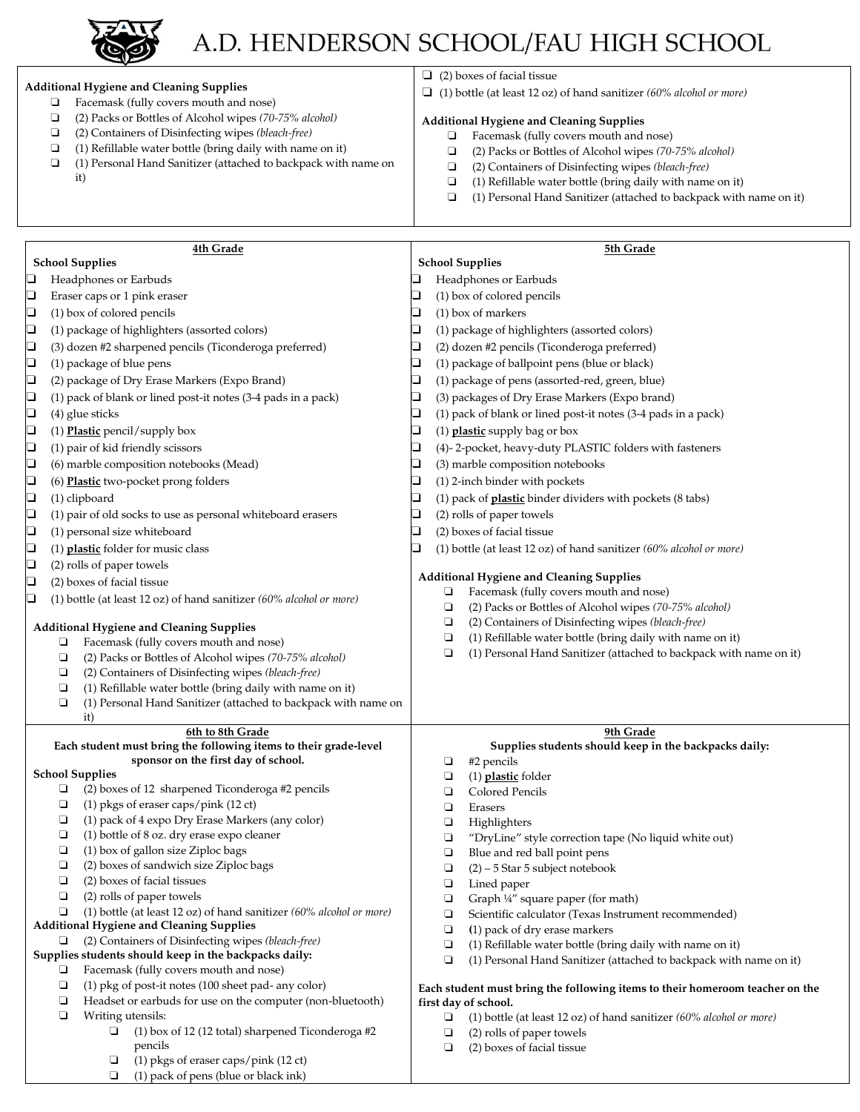

## A.D. HENDERSON SCHOOL/FAU HIGH SCHOOL

### **Additional Hygiene and Cleaning Supplies**

- ❏ Facemask (fully covers mouth and nose)
- ❏ (2) Packs or Bottles of Alcohol wipes *(70-75% alcohol)*
- ❏ (2) Containers of Disinfecting wipes *(bleach-free)*
- ❏ (1) Refillable water bottle (bring daily with name on it)
- ❏ (1) Personal Hand Sanitizer (attached to backpack with name on
- it)

❏ (2) boxes of facial tissue

❏ (1) bottle (at least 12 oz) of hand sanitizer *(60% alcohol or more)*

#### **Additional Hygiene and Cleaning Supplies**

- ❏ Facemask (fully covers mouth and nose)
- ❏ (2) Packs or Bottles of Alcohol wipes *(70-75% alcohol)*
- ❏ (2) Containers of Disinfecting wipes *(bleach-free)*
- ❏ (1) Refillable water bottle (bring daily with name on it)
- ❏ (1) Personal Hand Sanitizer (attached to backpack with name on it)

**4th Grade School Supplies**  ❏ Headphones or Earbuds ❏ Eraser caps or 1 pink eraser ❏ (1) box of colored pencils ❏ (1) package of highlighters (assorted colors) ❏ (3) dozen #2 sharpened pencils (Ticonderoga preferred) ❏ (1) package of blue pens ❏ (2) package of Dry Erase Markers (Expo Brand) ❏ (1) pack of blank or lined post-it notes (3-4 pads in a pack)  $\Box$  (4) glue sticks ❏ (1) **Plastic** pencil/supply box ❏ (1) pair of kid friendly scissors ❏ (6) marble composition notebooks (Mead) ❏ (6) **Plastic** two-pocket prong folders ❏ (1) clipboard ❏ (1) pair of old socks to use as personal whiteboard erasers ❏ (1) personal size whiteboard ❏ (1) **plastic** folder for music class ❏ (2) rolls of paper towels ❏ (2) boxes of facial tissue ❏ (1) bottle (at least 12 oz) of hand sanitizer *(60% alcohol or more)* **Additional Hygiene and Cleaning Supplies**  ❏ Facemask (fully covers mouth and nose) ❏ (2) Packs or Bottles of Alcohol wipes *(70-75% alcohol)* ❏ (2) Containers of Disinfecting wipes *(bleach-free)* ❏ (1) Refillable water bottle (bring daily with name on it) ❏ (1) Personal Hand Sanitizer (attached to backpack with name on it) **5th Grade School Supplies**  ❏ Headphones or Earbuds ❏ (1) box of colored pencils  $\Box$  (1) box of markers ❏ (1) package of highlighters (assorted colors) ❏ (2) dozen #2 pencils (Ticonderoga preferred) ❏ (1) package of ballpoint pens (blue or black) ❏ (1) package of pens (assorted-red, green, blue) ❏ (3) packages of Dry Erase Markers (Expo brand) ❏ (1) pack of blank or lined post-it notes (3-4 pads in a pack) ❏ (1) **plastic** supply bag or box ❏ (4)- 2-pocket, heavy-duty PLASTIC folders with fasteners ❏ (3) marble composition notebooks  $\Box$  (1) 2-inch binder with pockets ❏ (1) pack of **plastic** binder dividers with pockets (8 tabs)  $\Box$  (2) rolls of paper towels ❏ (2) boxes of facial tissue ❏ (1) bottle (at least 12 oz) of hand sanitizer *(60% alcohol or more)* **Additional Hygiene and Cleaning Supplies** ❏ Facemask (fully covers mouth and nose) ❏ (2) Packs or Bottles of Alcohol wipes *(70-75% alcohol)* ❏ (2) Containers of Disinfecting wipes *(bleach-free)* ❏ (1) Refillable water bottle (bring daily with name on it) ❏ (1) Personal Hand Sanitizer (attached to backpack with name on it) **6th to 8th Grade Each student must bring the following items to their grade-level sponsor on the first day of school. School Supplies** ❏ (2) boxes of 12 sharpened Ticonderoga #2 pencils ❏ (1) pkgs of eraser caps/pink (12 ct) ❏ (1) pack of 4 expo Dry Erase Markers (any color) ❏ (1) bottle of 8 oz. dry erase expo cleaner ❏ (1) box of gallon size Ziploc bags ❏ (2) boxes of sandwich size Ziploc bags ❏ (2) boxes of facial tissues ❏ (2) rolls of paper towels ❏ (1) bottle (at least 12 oz) of hand sanitizer *(60% alcohol or more)* **Additional Hygiene and Cleaning Supplies**  ❏ (2) Containers of Disinfecting wipes *(bleach-free)* **9th Grade Supplies students should keep in the backpacks daily:** □ #2 pencils<br>□ (1) <u>plastic</u> ❏ (1) **plastic** folder ❏ Colored Pencils ❏ Erasers ❏ Highlighters ❏ "DryLine" style correction tape (No liquid white out) ❏ Blue and red ball point pens  $\Box$  (2) – 5 Star 5 subject notebook ❏ Lined paper ❏ Graph ¼" square paper (for math) ❏ Scientific calculator (Texas Instrument recommended) ❏ **(**1) pack of dry erase markers

### **Supplies students should keep in the backpacks daily:**

- ❏ Facemask (fully covers mouth and nose)
- ❏ (1) pkg of post-it notes (100 sheet pad- any color)
- ❏ Headset or earbuds for use on the computer (non-bluetooth)
- ❏ Writing utensils:
	- ❏ (1) box of 12 (12 total) sharpened Ticonderoga #2 pencils
	- ❏ (1) pkgs of eraser caps/pink (12 ct)
	- ❏ (1) pack of pens (blue or black ink)

## **Each student must bring the following items to their homeroom teacher on the**

- ❏ (1) bottle (at least 12 oz) of hand sanitizer *(60% alcohol or more)*
- ❏ (2) rolls of paper towels
- ❏ (2) boxes of facial tissue
- ❏ (1) Refillable water bottle (bring daily with name on it)
- ❏ (1) Personal Hand Sanitizer (attached to backpack with name on it)

## **first day of school.**